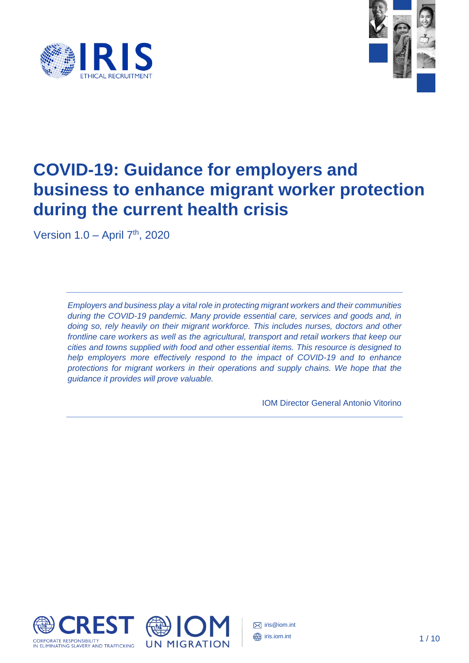



# **COVID-19: Guidance for employers and business to enhance migrant worker protection during the current health crisis**

Version  $1.0 -$  April  $7<sup>th</sup>$ , 2020

*Employers and business play a vital role in protecting migrant workers and their communities during the COVID-19 pandemic. Many provide essential care, services and goods and, in doing so, rely heavily on their migrant workforce. This includes nurses, doctors and other frontline care workers as well as the agricultural, transport and retail workers that keep our cities and towns supplied with food and other essential items. This resource is designed to help employers more effectively respond to the impact of COVID-19 and to enhance protections for migrant workers in their operations and supply chains. We hope that the guidance it provides will prove valuable.*

IOM Director General Antonio Vitorino



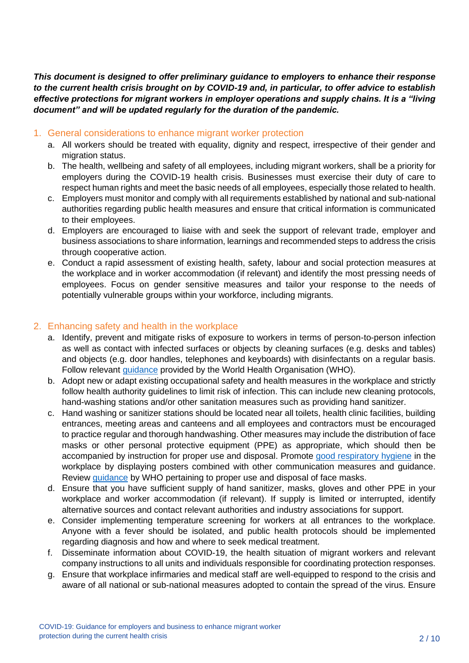*This document is designed to offer preliminary guidance to employers to enhance their response to the current health crisis brought on by COVID-19 and, in particular, to offer advice to establish effective protections for migrant workers in employer operations and supply chains. It is a "living document" and will be updated regularly for the duration of the pandemic.*

#### 1. General considerations to enhance migrant worker protection

- a. All workers should be treated with equality, dignity and respect, irrespective of their gender and migration status.
- b. The health, wellbeing and safety of all employees, including migrant workers, shall be a priority for employers during the COVID-19 health crisis. Businesses must exercise their duty of care to respect human rights and meet the basic needs of all employees, especially those related to health.
- c. Employers must monitor and comply with all requirements established by national and sub-national authorities regarding public health measures and ensure that critical information is communicated to their employees.
- d. Employers are encouraged to liaise with and seek the support of relevant trade, employer and business associations to share information, learnings and recommended steps to address the crisis through cooperative action.
- e. Conduct a rapid assessment of existing health, safety, labour and social protection measures at the workplace and in worker accommodation (if relevant) and identify the most pressing needs of employees. Focus on gender sensitive measures and tailor your response to the needs of potentially vulnerable groups within your workforce, including migrants.

## 2. Enhancing safety and health in the workplace

- a. Identify, prevent and mitigate risks of exposure to workers in terms of person-to-person infection as well as contact with infected surfaces or objects by cleaning surfaces (e.g. desks and tables) and objects (e.g. door handles, telephones and keyboards) with disinfectants on a regular basis. Follow relevant [guidance](https://www.who.int/docs/default-source/coronaviruse/advice-for-workplace-clean-19-03-2020.pdf) provided by the World Health Organisation (WHO).
- b. Adopt new or adapt existing occupational safety and health measures in the workplace and strictly follow health authority guidelines to limit risk of infection. This can include new cleaning protocols, hand-washing stations and/or other sanitation measures such as providing hand sanitizer.
- c. Hand washing or sanitizer stations should be located near all toilets, health clinic facilities, building entrances, meeting areas and canteens and all employees and contractors must be encouraged to practice regular and thorough handwashing. Other measures may include the distribution of face masks or other personal protective equipment (PPE) as appropriate, which should then be accompanied by instruction for proper use and disposal. Promote [good respiratory hygiene](https://www.who.int/images/default-source/health-topics/coronavirus/risk-communications/general-public/protect-yourself/blue-3.png?sfvrsn=b1ef6d45_2) in the workplace by displaying posters combined with other communication measures and guidance. Review [guidance](https://www.who.int/emergencies/diseases/novel-coronavirus-2019/advice-for-public/when-and-how-to-use-masks) by WHO pertaining to proper use and disposal of face masks.
- d. Ensure that you have sufficient supply of hand sanitizer, masks, gloves and other PPE in your workplace and worker accommodation (if relevant). If supply is limited or interrupted, identify alternative sources and contact relevant authorities and industry associations for support.
- e. Consider implementing temperature screening for workers at all entrances to the workplace. Anyone with a fever should be isolated, and public health protocols should be implemented regarding diagnosis and how and where to seek medical treatment.
- f. Disseminate information about COVID-19, the health situation of migrant workers and relevant company instructions to all units and individuals responsible for coordinating protection responses.
- g. Ensure that workplace infirmaries and medical staff are well-equipped to respond to the crisis and aware of all national or sub-national measures adopted to contain the spread of the virus. Ensure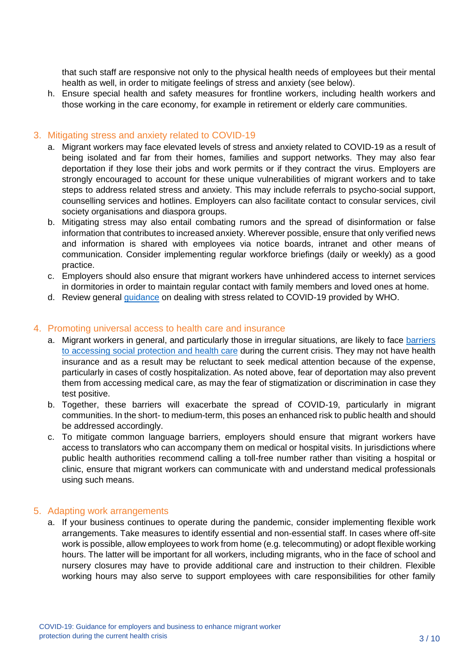that such staff are responsive not only to the physical health needs of employees but their mental health as well, in order to mitigate feelings of stress and anxiety (see below).

h. Ensure special health and safety measures for frontline workers, including health workers and those working in the care economy, for example in retirement or elderly care communities.

#### 3. Mitigating stress and anxiety related to COVID-19

- a. Migrant workers may face elevated levels of stress and anxiety related to COVID-19 as a result of being isolated and far from their homes, families and support networks. They may also fear deportation if they lose their jobs and work permits or if they contract the virus. Employers are strongly encouraged to account for these unique vulnerabilities of migrant workers and to take steps to address related stress and anxiety. This may include referrals to psycho-social support, counselling services and hotlines. Employers can also facilitate contact to consular services, civil society organisations and diaspora groups.
- b. Mitigating stress may also entail combating rumors and the spread of disinformation or false information that contributes to increased anxiety. Wherever possible, ensure that only verified news and information is shared with employees via notice boards, intranet and other means of communication. Consider implementing regular workforce briefings (daily or weekly) as a good practice.
- c. Employers should also ensure that migrant workers have unhindered access to internet services in dormitories in order to maintain regular contact with family members and loved ones at home.
- d. Review general [guidance](https://www.who.int/docs/default-source/coronaviruse/coping-with-stress.pdf?sfvrsn=9845bc3a_8) on dealing with stress related to COVID-19 provided by WHO.

#### 4. Promoting universal access to health care and insurance

- a. Migrant workers in general, and particularly those in irregular situations, are likely to face barriers to accessing [social protection and](https://www.ilo.org/wcmsp5/groups/public/---asia/---ro-bangkok/documents/publication/wcms_655176.pdf) health care during the current crisis. They may not have health insurance and as a result may be reluctant to seek medical attention because of the expense, particularly in cases of costly hospitalization. As noted above, fear of deportation may also prevent them from accessing medical care, as may the fear of stigmatization or discrimination in case they test positive.
- b. Together, these barriers will exacerbate the spread of COVID-19, particularly in migrant communities. In the short- to medium-term, this poses an enhanced risk to public health and should be addressed accordingly.
- c. To mitigate common language barriers, employers should ensure that migrant workers have access to translators who can accompany them on medical or hospital visits. In jurisdictions where public health authorities recommend calling a toll-free number rather than visiting a hospital or clinic, ensure that migrant workers can communicate with and understand medical professionals using such means.

#### 5. Adapting work arrangements

a. If your business continues to operate during the pandemic, consider implementing flexible work arrangements. Take measures to identify essential and non-essential staff. In cases where off-site work is possible, allow employees to work from home (e.g. telecommuting) or adopt flexible working hours. The latter will be important for all workers, including migrants, who in the face of school and nursery closures may have to provide additional care and instruction to their children. Flexible working hours may also serve to support employees with care responsibilities for other family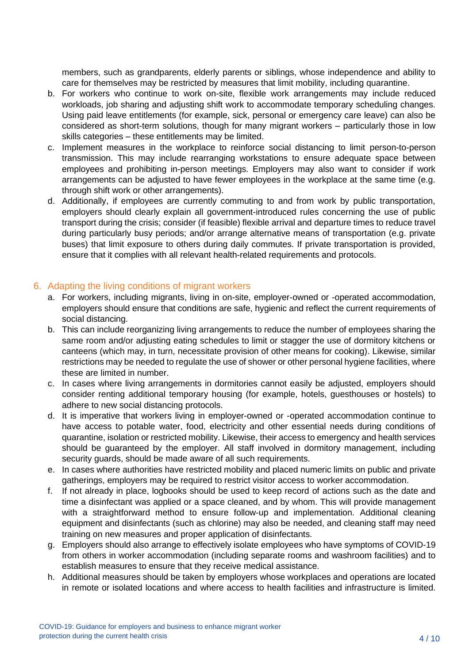members, such as grandparents, elderly parents or siblings, whose independence and ability to care for themselves may be restricted by measures that limit mobility, including quarantine.

- b. For workers who continue to work on-site, flexible work arrangements may include reduced workloads, job sharing and adjusting shift work to accommodate temporary scheduling changes. Using paid leave entitlements (for example, sick, personal or emergency care leave) can also be considered as short-term solutions, though for many migrant workers – particularly those in low skills categories – these entitlements may be limited.
- c. Implement measures in the workplace to reinforce social distancing to limit person-to-person transmission. This may include rearranging workstations to ensure adequate space between employees and prohibiting in-person meetings. Employers may also want to consider if work arrangements can be adjusted to have fewer employees in the workplace at the same time (e.g. through shift work or other arrangements).
- d. Additionally, if employees are currently commuting to and from work by public transportation, employers should clearly explain all government-introduced rules concerning the use of public transport during the crisis; consider (if feasible) flexible arrival and departure times to reduce travel during particularly busy periods; and/or arrange alternative means of transportation (e.g. private buses) that limit exposure to others during daily commutes. If private transportation is provided, ensure that it complies with all relevant health-related requirements and protocols.

## 6. Adapting the living conditions of migrant workers

- a. For workers, including migrants, living in on-site, employer-owned or -operated accommodation, employers should ensure that conditions are safe, hygienic and reflect the current requirements of social distancing.
- b. This can include reorganizing living arrangements to reduce the number of employees sharing the same room and/or adjusting eating schedules to limit or stagger the use of dormitory kitchens or canteens (which may, in turn, necessitate provision of other means for cooking). Likewise, similar restrictions may be needed to regulate the use of shower or other personal hygiene facilities, where these are limited in number.
- c. In cases where living arrangements in dormitories cannot easily be adjusted, employers should consider renting additional temporary housing (for example, hotels, guesthouses or hostels) to adhere to new social distancing protocols.
- d. It is imperative that workers living in employer-owned or -operated accommodation continue to have access to potable water, food, electricity and other essential needs during conditions of quarantine, isolation or restricted mobility. Likewise, their access to emergency and health services should be guaranteed by the employer. All staff involved in dormitory management, including security guards, should be made aware of all such requirements.
- e. In cases where authorities have restricted mobility and placed numeric limits on public and private gatherings, employers may be required to restrict visitor access to worker accommodation.
- f. If not already in place, logbooks should be used to keep record of actions such as the date and time a disinfectant was applied or a space cleaned, and by whom. This will provide management with a straightforward method to ensure follow-up and implementation. Additional cleaning equipment and disinfectants (such as chlorine) may also be needed, and cleaning staff may need training on new measures and proper application of disinfectants.
- g. Employers should also arrange to effectively isolate employees who have symptoms of COVID-19 from others in worker accommodation (including separate rooms and washroom facilities) and to establish measures to ensure that they receive medical assistance.
- h. Additional measures should be taken by employers whose workplaces and operations are located in remote or isolated locations and where access to health facilities and infrastructure is limited.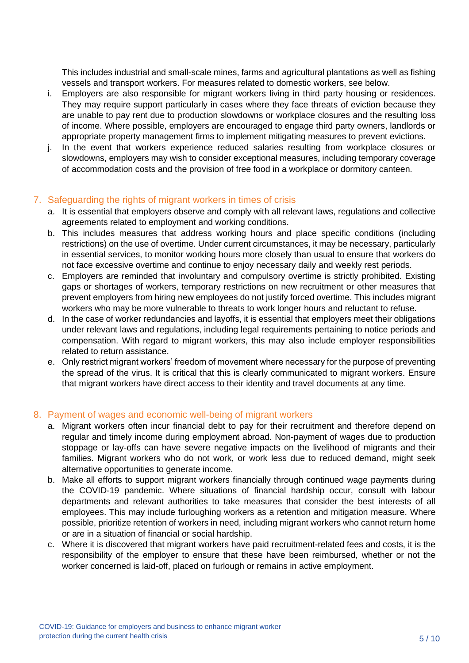This includes industrial and small-scale mines, farms and agricultural plantations as well as fishing vessels and transport workers. For measures related to domestic workers, see below.

- i. Employers are also responsible for migrant workers living in third party housing or residences. They may require support particularly in cases where they face threats of eviction because they are unable to pay rent due to production slowdowns or workplace closures and the resulting loss of income. Where possible, employers are encouraged to engage third party owners, landlords or appropriate property management firms to implement mitigating measures to prevent evictions.
- j. In the event that workers experience reduced salaries resulting from workplace closures or slowdowns, employers may wish to consider exceptional measures, including temporary coverage of accommodation costs and the provision of free food in a workplace or dormitory canteen.

# 7. Safeguarding the rights of migrant workers in times of crisis

- a. It is essential that employers observe and comply with all relevant laws, regulations and collective agreements related to employment and working conditions.
- b. This includes measures that address working hours and place specific conditions (including restrictions) on the use of overtime. Under current circumstances, it may be necessary, particularly in essential services, to monitor working hours more closely than usual to ensure that workers do not face excessive overtime and continue to enjoy necessary daily and weekly rest periods.
- c. Employers are reminded that involuntary and compulsory overtime is strictly prohibited. Existing gaps or shortages of workers, temporary restrictions on new recruitment or other measures that prevent employers from hiring new employees do not justify forced overtime. This includes migrant workers who may be more vulnerable to threats to work longer hours and reluctant to refuse.
- d. In the case of worker redundancies and layoffs, it is essential that employers meet their obligations under relevant laws and regulations, including legal requirements pertaining to notice periods and compensation. With regard to migrant workers, this may also include employer responsibilities related to return assistance.
- e. Only restrict migrant workers' freedom of movement where necessary for the purpose of preventing the spread of the virus. It is critical that this is clearly communicated to migrant workers. Ensure that migrant workers have direct access to their identity and travel documents at any time.

## 8. Payment of wages and economic well-being of migrant workers

- a. Migrant workers often incur financial debt to pay for their recruitment and therefore depend on regular and timely income during employment abroad. Non-payment of wages due to production stoppage or lay-offs can have severe negative impacts on the livelihood of migrants and their families. Migrant workers who do not work, or work less due to reduced demand, might seek alternative opportunities to generate income.
- b. Make all efforts to support migrant workers financially through continued wage payments during the COVID-19 pandemic. Where situations of financial hardship occur, consult with labour departments and relevant authorities to take measures that consider the best interests of all employees. This may include furloughing workers as a retention and mitigation measure. Where possible, prioritize retention of workers in need, including migrant workers who cannot return home or are in a situation of financial or social hardship.
- c. Where it is discovered that migrant workers have paid recruitment-related fees and costs, it is the responsibility of the employer to ensure that these have been reimbursed, whether or not the worker concerned is laid-off, placed on furlough or remains in active employment.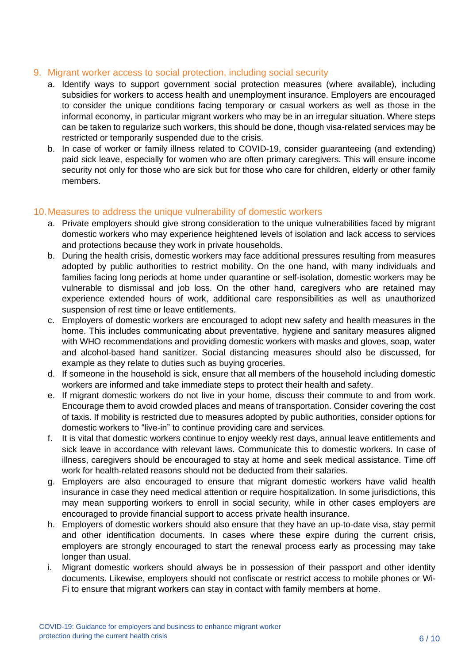#### 9. Migrant worker access to social protection, including social security

- a. Identify ways to support government social protection measures (where available), including subsidies for workers to access health and unemployment insurance. Employers are encouraged to consider the unique conditions facing temporary or casual workers as well as those in the informal economy, in particular migrant workers who may be in an irregular situation. Where steps can be taken to regularize such workers, this should be done, though visa-related services may be restricted or temporarily suspended due to the crisis.
- b. In case of worker or family illness related to COVID-19, consider guaranteeing (and extending) paid sick leave, especially for women who are often primary caregivers. This will ensure income security not only for those who are sick but for those who care for children, elderly or other family members.

#### 10.Measures to address the unique vulnerability of domestic workers

- a. Private employers should give strong consideration to the unique vulnerabilities faced by migrant domestic workers who may experience heightened levels of isolation and lack access to services and protections because they work in private households.
- b. During the health crisis, domestic workers may face additional pressures resulting from measures adopted by public authorities to restrict mobility. On the one hand, with many individuals and families facing long periods at home under quarantine or self-isolation, domestic workers may be vulnerable to dismissal and job loss. On the other hand, caregivers who are retained may experience extended hours of work, additional care responsibilities as well as unauthorized suspension of rest time or leave entitlements.
- c. Employers of domestic workers are encouraged to adopt new safety and health measures in the home. This includes communicating about preventative, hygiene and sanitary measures aligned with WHO recommendations and providing domestic workers with masks and gloves, soap, water and alcohol-based hand sanitizer. Social distancing measures should also be discussed, for example as they relate to duties such as buying groceries.
- d. If someone in the household is sick, ensure that all members of the household including domestic workers are informed and take immediate steps to protect their health and safety.
- e. If migrant domestic workers do not live in your home, discuss their commute to and from work. Encourage them to avoid crowded places and means of transportation. Consider covering the cost of taxis. If mobility is restricted due to measures adopted by public authorities, consider options for domestic workers to "live-in" to continue providing care and services.
- f. It is vital that domestic workers continue to enjoy weekly rest days, annual leave entitlements and sick leave in accordance with relevant laws. Communicate this to domestic workers. In case of illness, caregivers should be encouraged to stay at home and seek medical assistance. Time off work for health-related reasons should not be deducted from their salaries.
- g. Employers are also encouraged to ensure that migrant domestic workers have valid health insurance in case they need medical attention or require hospitalization. In some jurisdictions, this may mean supporting workers to enroll in social security, while in other cases employers are encouraged to provide financial support to access private health insurance.
- h. Employers of domestic workers should also ensure that they have an up-to-date visa, stay permit and other identification documents. In cases where these expire during the current crisis, employers are strongly encouraged to start the renewal process early as processing may take longer than usual.
- i. Migrant domestic workers should always be in possession of their passport and other identity documents. Likewise, employers should not confiscate or restrict access to mobile phones or Wi-Fi to ensure that migrant workers can stay in contact with family members at home.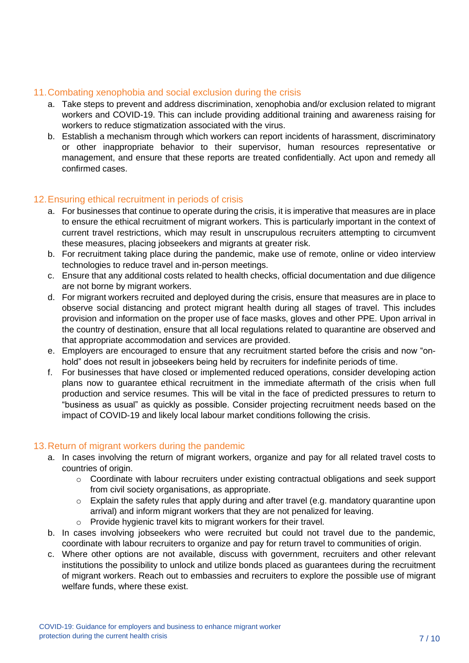# 11.Combating xenophobia and social exclusion during the crisis

- a. Take steps to prevent and address discrimination, xenophobia and/or exclusion related to migrant workers and COVID-19. This can include providing additional training and awareness raising for workers to reduce stigmatization associated with the virus.
- b. Establish a mechanism through which workers can report incidents of harassment, discriminatory or other inappropriate behavior to their supervisor, human resources representative or management, and ensure that these reports are treated confidentially. Act upon and remedy all confirmed cases.

## 12.Ensuring ethical recruitment in periods of crisis

- a. For businesses that continue to operate during the crisis, it is imperative that measures are in place to ensure the ethical recruitment of migrant workers. This is particularly important in the context of current travel restrictions, which may result in unscrupulous recruiters attempting to circumvent these measures, placing jobseekers and migrants at greater risk.
- b. For recruitment taking place during the pandemic, make use of remote, online or video interview technologies to reduce travel and in-person meetings.
- c. Ensure that any additional costs related to health checks, official documentation and due diligence are not borne by migrant workers.
- d. For migrant workers recruited and deployed during the crisis, ensure that measures are in place to observe social distancing and protect migrant health during all stages of travel. This includes provision and information on the proper use of face masks, gloves and other PPE. Upon arrival in the country of destination, ensure that all local regulations related to quarantine are observed and that appropriate accommodation and services are provided.
- e. Employers are encouraged to ensure that any recruitment started before the crisis and now "onhold" does not result in jobseekers being held by recruiters for indefinite periods of time.
- f. For businesses that have closed or implemented reduced operations, consider developing action plans now to guarantee ethical recruitment in the immediate aftermath of the crisis when full production and service resumes. This will be vital in the face of predicted pressures to return to "business as usual" as quickly as possible. Consider projecting recruitment needs based on the impact of COVID-19 and likely local labour market conditions following the crisis.

## 13.Return of migrant workers during the pandemic

- a. In cases involving the return of migrant workers, organize and pay for all related travel costs to countries of origin.
	- $\circ$  Coordinate with labour recruiters under existing contractual obligations and seek support from civil society organisations, as appropriate.
	- o Explain the safety rules that apply during and after travel (e.g. mandatory quarantine upon arrival) and inform migrant workers that they are not penalized for leaving.
	- o Provide hygienic travel kits to migrant workers for their travel.
- b. In cases involving jobseekers who were recruited but could not travel due to the pandemic, coordinate with labour recruiters to organize and pay for return travel to communities of origin.
- c. Where other options are not available, discuss with government, recruiters and other relevant institutions the possibility to unlock and utilize bonds placed as guarantees during the recruitment of migrant workers. Reach out to embassies and recruiters to explore the possible use of migrant welfare funds, where these exist.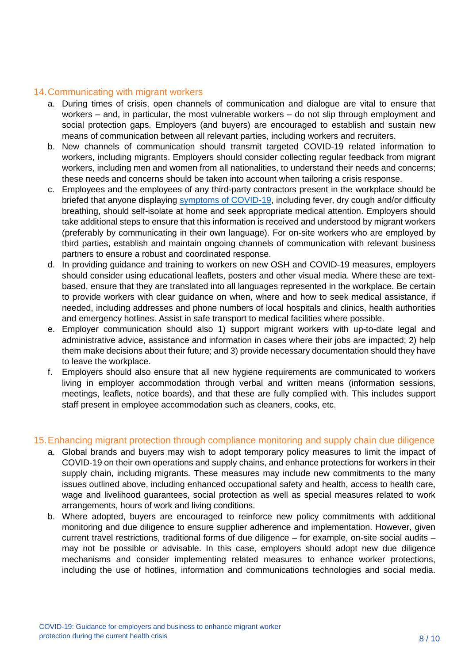#### 14.Communicating with migrant workers

- a. During times of crisis, open channels of communication and dialogue are vital to ensure that workers – and, in particular, the most vulnerable workers – do not slip through employment and social protection gaps. Employers (and buyers) are encouraged to establish and sustain new means of communication between all relevant parties, including workers and recruiters.
- b. New channels of communication should transmit targeted COVID-19 related information to workers, including migrants. Employers should consider collecting regular feedback from migrant workers, including men and women from all nationalities, to understand their needs and concerns; these needs and concerns should be taken into account when tailoring a crisis response.
- c. Employees and the employees of any third-party contractors present in the workplace should be briefed that anyone displaying [symptoms of COVID-19,](https://www.who.int/news-room/q-a-detail/q-a-coronaviruses) including fever, dry cough and/or difficulty breathing, should self-isolate at home and seek appropriate medical attention. Employers should take additional steps to ensure that this information is received and understood by migrant workers (preferably by communicating in their own language). For on-site workers who are employed by third parties, establish and maintain ongoing channels of communication with relevant business partners to ensure a robust and coordinated response.
- d. In providing guidance and training to workers on new OSH and COVID-19 measures, employers should consider using educational leaflets, posters and other visual media. Where these are textbased, ensure that they are translated into all languages represented in the workplace. Be certain to provide workers with clear guidance on when, where and how to seek medical assistance, if needed, including addresses and phone numbers of local hospitals and clinics, health authorities and emergency hotlines. Assist in safe transport to medical facilities where possible.
- e. Employer communication should also 1) support migrant workers with up-to-date legal and administrative advice, assistance and information in cases where their jobs are impacted; 2) help them make decisions about their future; and 3) provide necessary documentation should they have to leave the workplace.
- f. Employers should also ensure that all new hygiene requirements are communicated to workers living in employer accommodation through verbal and written means (information sessions, meetings, leaflets, notice boards), and that these are fully complied with. This includes support staff present in employee accommodation such as cleaners, cooks, etc.

#### 15.Enhancing migrant protection through compliance monitoring and supply chain due diligence

- a. Global brands and buyers may wish to adopt temporary policy measures to limit the impact of COVID-19 on their own operations and supply chains, and enhance protections for workers in their supply chain, including migrants. These measures may include new commitments to the many issues outlined above, including enhanced occupational safety and health, access to health care, wage and livelihood guarantees, social protection as well as special measures related to work arrangements, hours of work and living conditions.
- b. Where adopted, buyers are encouraged to reinforce new policy commitments with additional monitoring and due diligence to ensure supplier adherence and implementation. However, given current travel restrictions, traditional forms of due diligence – for example, on-site social audits – may not be possible or advisable. In this case, employers should adopt new due diligence mechanisms and consider implementing related measures to enhance worker protections, including the use of hotlines, information and communications technologies and social media.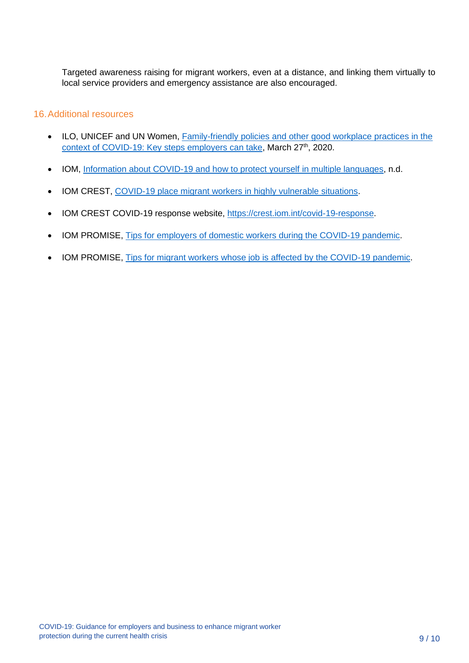Targeted awareness raising for migrant workers, even at a distance, and linking them virtually to local service providers and emergency assistance are also encouraged.

## 16.Additional resources

- ILO, UNICEF and UN Women, [Family-friendly policies and other good workplace practices in the](https://www.unicef.org/documents/family-friendly-policies-and-other-good-workplace-practices-context-covid-19-key-steps)  [context of COVID-19: Key steps employers can take,](https://www.unicef.org/documents/family-friendly-policies-and-other-good-workplace-practices-context-covid-19-key-steps) March 27<sup>th</sup>, 2020.
- IOM, [Information about COVID-19](https://www.iom.int/sites/default/files/covid19-response/leafletiomcovid19.pdf) and how to protect yourself in multiple languages, n.d.
- IOM CREST, [COVID-19 place migrant workers in highly vulnerable situations.](https://crest.iom.int/news/covid-19-places-migrant-workers-highly-vulnerable-situations%C2%A0)
- IOM CREST COVID-19 response website, [https://crest.iom.int/covid-19-response.](https://crest.iom.int/covid-19-response)
- IOM PROMISE, [Tips for employers of domestic workers during the COVID-19 pandemic.](https://crest.iom.int/sites/default/files/document/info_sheet-_employers_of_domestic_workers_eng.pdf)
- IOM PROMISE, [Tips for migrant workers whose job is affected by the COVID-19 pandemic.](https://crest.iom.int/sites/default/files/document/iom_infosheet_-migrant_workers_whose_job_is_affected_by_the_covid-19_pandemic_eng.pdf)